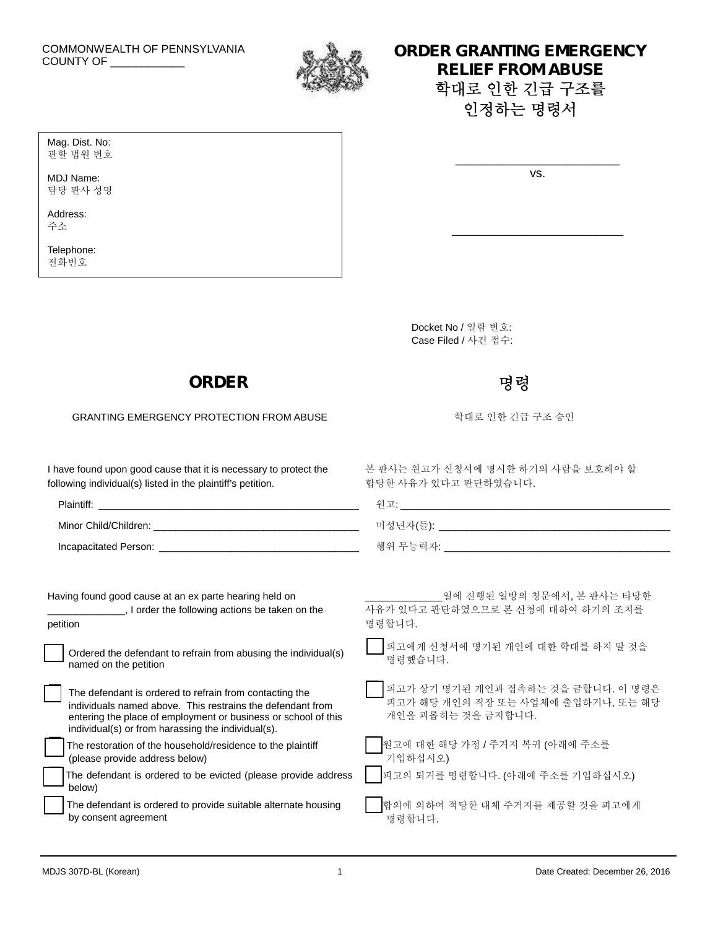# COMMONWEALTH OF PENNSYLVANIA



### COMMONWEALTH OF PENNSYLVANIA **EMERGENCY RELIEF FROM ABUSE 학대로 인한 긴급 구조를 인정하는 명령서**

vs.

\_\_\_\_\_\_\_\_\_\_\_\_\_\_\_\_\_\_\_\_\_\_\_\_\_

\_\_\_\_\_\_\_\_\_\_\_\_\_\_\_\_\_\_\_\_\_\_\_\_

관할 법원 번호 MDJ Name:

Mag. Dist. No:

담당 판사 성명

Address: 주소

Telephone: 전화번호

> Docket No / 일람 번호: Case Filed / 사건 접수:

합당한 사유가 있다고 판단하였습니다.

## **ORDER** 명령 명령

GRANTING EMERGENCY PROTECTION FROM ABUSE The Second Term of 학대로 인한 긴급 구조 승인

I have found upon good cause that it is necessary to protect the following individual(s) listed in the plaintiff's petition.

| Plaintiff:            | $-$      |
|-----------------------|----------|
| Minor Child/Children: | 미성년자(들): |
| Incapacitated Person: | 해위 무능력자· |

Having found good cause at an ex parte hearing held on \_\_\_\_\_\_\_\_\_\_\_\_\_\_, I order the following actions be taken on the petition

| Ordered the defendant to refrain from abusing the individual(s) |  |
|-----------------------------------------------------------------|--|
| named on the petition                                           |  |

| The defendant is ordered to refrain from contacting the                                                              | $\overline{u}$           |
|----------------------------------------------------------------------------------------------------------------------|--------------------------|
| individuals named above. This restrains the defendant from                                                           | $\overline{\mathcal{M}}$ |
| entering the place of employment or business or school of this<br>individual(s) or from harassing the individual(s). | 기                        |
|                                                                                                                      |                          |

| The restoration of the household/residence to the plaintiff |
|-------------------------------------------------------------|
| (please provide address below)                              |

| The defendant is ordered to be evicted (please provide address $\Box$ |  |
|-----------------------------------------------------------------------|--|
| $\rightarrow$ below)                                                  |  |

| The defendant is ordered to provide suitable alternate housing |  |
|----------------------------------------------------------------|--|
| by consent agreement                                           |  |

\_\_\_\_\_\_\_\_\_\_\_\_\_\_일에 진행된 일방의 청문에서, 본 판사는 타당한 사유가 있다고 판단하였으므로 본 신청에 대하여 하기의 조치를 명령합니다.

본 판사는 원고가 신청서에 명시한 하기의 사람을 보호해야 할

 피고에게 신청서에 명기된 개인에 대한 학대를 하지 <sup>말</sup> 것을 명령했습니다.

 피고가 상기 명기된 개인과 접촉하는 것을 금합니다. <sup>이</sup> 명령은 피고가 해당 개인의 직장 또는 사업체에 출입하거나, 또는 해당 개인을 괴롭히는 것을 금지합니다.

|   | ███<br>████<br>기입하십시오) |
|---|------------------------|
|   |                        |
| — |                        |

피고의 퇴거를 명령합니다. (아래에 주소를 기입하십시오)

 합의에 의하여 적당한 대체 주거지를 제공할 것을 피고에게 명령합니다.